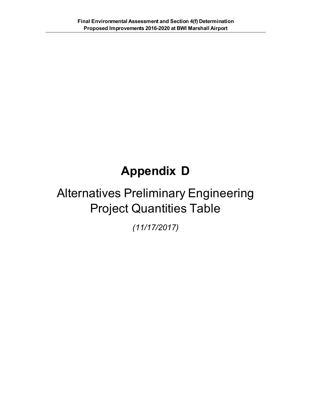## **Appendix D**

## Alternatives Preliminary Engineering Project Quantities Table

*(11/17/2017)*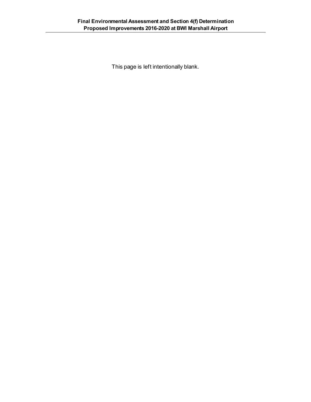This page is left intentionally blank.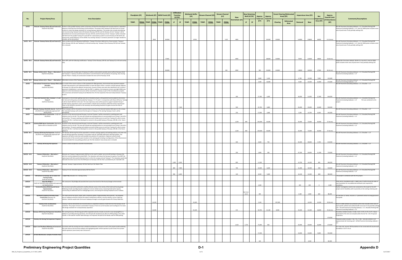|                 | <b>Project Name/Area</b>                                                                                      | <b>Area Description</b>                                                                                                                                                                                                                                                                                                                                                                                                                                                                                                                                                                                                                                                                                                                                      | <b>Floodplain (SF)</b> |  | Wetlands (SF)   SWM Ponds (SF) |                  |  | <b>Infiltration</b><br><b>Trenches</b><br>(LF/SF) | <b>Wetlands Buffer</b> |           |                  | <b>Stream Channel (SF)</b> |  | <b>Stream Channel</b><br>(LF) |       |       | <b>New Retaining</b><br>Wall (LF/SF) |                 | Approx.<br><b>Total Cut</b> | Approx.<br><b>Total Fill</b> |        | <b>Forest Clearing (Reforested</b><br>Area) (SF) |                    | <b>Impervious Area (SY)</b> | Approx.<br><b>Net</b><br><b>Overall Limit</b> |                  | <b>Comments/Assumptions</b> |                                                                                                                                                                                                                                                                          |
|-----------------|---------------------------------------------------------------------------------------------------------------|--------------------------------------------------------------------------------------------------------------------------------------------------------------------------------------------------------------------------------------------------------------------------------------------------------------------------------------------------------------------------------------------------------------------------------------------------------------------------------------------------------------------------------------------------------------------------------------------------------------------------------------------------------------------------------------------------------------------------------------------------------------|------------------------|--|--------------------------------|------------------|--|---------------------------------------------------|------------------------|-----------|------------------|----------------------------|--|-------------------------------|-------|-------|--------------------------------------|-----------------|-----------------------------|------------------------------|--------|--------------------------------------------------|--------------------|-----------------------------|-----------------------------------------------|------------------|-----------------------------|--------------------------------------------------------------------------------------------------------------------------------------------------------------------------------------------------------------------------------------------------------------------------|
|                 |                                                                                                               |                                                                                                                                                                                                                                                                                                                                                                                                                                                                                                                                                                                                                                                                                                                                                              | TEMP.                  |  | PERM.   TEMP.   PERM.   TEMP.  |                  |  | PERM.                                             |                        | <b>SF</b> | TEMP.<br>PERM.   | TEMP.                      |  | PERM.                         | TEMP. | PERM. | Stormdrain (LF)                      | LF.             | <b>SF</b>                   | (CY)                         | (CY)   | <b>Clearing</b>                                  | Reforested<br>Area | Removal                     | <b>New</b>                                    | Area (SY)        | of Disturbance<br>(SF)      |                                                                                                                                                                                                                                                                          |
| (ALP)1          | Draft ALP (01/2105)                                                                                           | Relocate Taxiways Romeo (R) and Foxtrot (F) Portions of the parallel taxiway system to Runway 10-28 will be demolished and reconstructed at a separation<br>distance of 502 feet from the Runway 10-28 centerline. The project shift Taxiway R 102 feet from its current<br>location to meet FAA design standards for runway/taxiway separation. This project also includes demolishing<br>and reconstructing Taxiway Foxtrot (F) between Runway 15R-33L and the Runway 10 end. Taxiway F will be<br>lemolished and reconstructed between Runway 15R-33L and the Runway 10 end. Taxiway F will be relocated                                                                                                                                                  |                        |  |                                |                  |  |                                                   |                        |           |                  |                            |  |                               |       |       |                                      |                 |                             |                              |        |                                                  |                    |                             |                                               |                  |                             | Aircraft Pavement (Including Subbase) = 2.5'; Shoulder/Parking/VSR<br>Pavement (Including Subbase) = 1.0'. Area for SWM ponds includes entire<br>area of pond even if only partially withing LOD.                                                                        |
|                 |                                                                                                               | 350 feet from the parallel Taxiway R to provide for a dual taxiway system to access Runway 10-28 which will<br>improve the overall efficiency of the airfield. Any existing Taxiway F connector pavement no longer needed for<br>shoulder will be demolished.<br>(ALP)1 - Alt 2   Relocate Taxiways Romeo (R) and Foxtrot (F) Same as above with the following modification: Taxiway R has been deferred to a future project, Taxiway F<br>(from Runway 15R-33L and Taxiway G) is mill and overlay only, Taxiway R (from Runway 15R-33L and Taxiway<br>G) is removed.                                                                                                                                                                                        |                        |  |                                | 9500             |  | 262000                                            |                        |           | 19700            |                            |  |                               |       | 1325  | 4900                                 |                 |                             |                              | 591000 | 220000                                           |                    | 144000                      | 228000                                        | 84000            | 111 (Acres)                 | Aircraft Pavement (Including Subbase) = 2.5'; Shoulder/Parking/VSR<br>Pavement (Including Subbase) = 1.0'. Area for SWM ponds includes entire<br>area of pond even if only partially withing LOD                                                                         |
|                 |                                                                                                               |                                                                                                                                                                                                                                                                                                                                                                                                                                                                                                                                                                                                                                                                                                                                                              |                        |  |                                |                  |  | 97400                                             |                        |           |                  |                            |  |                               |       |       | 4900                                 |                 |                             |                              | 186000 | 210000                                           |                    | 75000                       | 123000                                        | 48000            | 59 (Acres)                  |                                                                                                                                                                                                                                                                          |
|                 |                                                                                                               | (ALP)1 - Alt 3 Relocate Taxiways Romeo (R) and Foxtrot (F) Same AlP1 with the following modification: Taxiway F (from Runway 15R-33L and Taxiway G) is mill and overlay                                                                                                                                                                                                                                                                                                                                                                                                                                                                                                                                                                                      |                        |  |                                |                  |  | 262000                                            |                        |           |                  |                            |  |                               |       | 420   | 4900                                 |                 |                             | 900                          | 310000 | 210000                                           |                    | 118000                      | 165000                                        | 47000            | 84 (Acres)                  | Original Alt-3 has been deleted. Old Alt-4 is now Alt-3. Area for SWM<br>onds includes entire area of pond even if only partially withing LOD                                                                                                                            |
|                 | Draft ALP (01/2015)                                                                                           | (ALP)2 - Alt 1   Taxiway Uniform (U) 3 - Phase 1 - Alternative 1   A new taxiway (U3), located west of taxiway U2 will be constructed to provide access to/from Runway 10-28<br>and Taxiway U. Taxiway U3 will be constructed in concrete based on the prevalence of queuing, slow-moving<br>aircraft. Phase 1 Taxiway U3 construction includes the area north of Runway 10-28.                                                                                                                                                                                                                                                                                                                                                                              |                        |  |                                |                  |  |                                                   |                        |           |                  |                            |  |                               |       |       |                                      |                 |                             | 2,600                        | 5,100  |                                                  |                    | 4,700                       | 12,500                                        | 7,800            | 222,400                     | Aircraft Pavement (Including Subbase) = 2.5'; Shoulder/Parking/VSR<br>Pavement (Including Subbase) = 1.0'                                                                                                                                                                |
|                 |                                                                                                               | (ALP)2 - Alt 2 Taxiway Uniform (U) 3 - Phase 1 - Alternative 2 Alternative version of the Taxiway U3 as per latest MPU                                                                                                                                                                                                                                                                                                                                                                                                                                                                                                                                                                                                                                       |                        |  |                                |                  |  |                                                   |                        |           |                  |                            |  |                               |       |       |                                      |                 |                             | 3,400                        | 10,000 |                                                  |                    | 9,500                       | 23,500                                        | 14,000           | 472,000                     | Aircraft Pavement (Including Subbase) = 2.5'; Shoulder/Parking/VSR<br>Pavement (Including Subbase) = 1.0'                                                                                                                                                                |
| (ALP)3          | <b>Shoulders</b><br>Draft ALP (01/2015)                                                                       | International Terminal Area Taxiway Fillets and As a result of the recent revisions to FAA standards for fillet geometry, the terminal Area pavement projects<br>include improvements to all substandard fillets to meet the latest criteria. Locations include taxiways adjacent<br>to Runway 15L-33R and the adiacent terminal area. Several of these area were also identified to be in need of<br>avement rehabilitation in accordance with the PMP. In addition, the temporary remain-overnight (RON) area<br>adjacent to the International concourse will be converted to a taxiway as part of the miscellaneous projects.<br>This conversion will extend Taxiway B and Maintain the 275-foot separation that exist today between Taxiways<br>B and S. |                        |  |                                |                  |  |                                                   |                        |           |                  |                            |  |                               |       |       |                                      |                 |                             |                              |        |                                                  |                    |                             |                                               |                  |                             | Aircraft Pavement (Including Subbase) = 2.5'; Shoulder = 1.0'                                                                                                                                                                                                            |
| (ALP)4          | <b>Future P</b><br>Draft ALP (01/2015)                                                                        | New Infill Pavement Near Taxiways T, P, and Subsequent to the Airfield Lighting Vault (ALV) relocation project, infill pavement will be added to the former<br>ALV site and to the grassy area bounded by Taxiways T, P, P1 and C. In conjunction with these infill area, Taxiway<br>E will be rebuilt 300 feet to the east. The new impervious areas will be paved to support standard Group V<br>parallel taxiway separations and to accommodate a Vehicle Service Roadway (VSR) that will be repositioned<br>closer to the airfield to provide for the necessary aircraft parking clearances at gates around the ends of                                                                                                                                  |                        |  |                                |                  |  |                                                   |                        |           |                  |                            |  |                               |       |       | 300                                  |                 |                             | 27,300                       | 4,400  |                                                  |                    | 34,000                      | 51,000                                        | 17,000           | 644,000                     | Aircraft Pavement (Including Subbase) = 2.5'; Shoulder/Parking/VSR<br>Pavement (Including Subbase) = 1.0' P14 was combined to this                                                                                                                                       |
| (ALP)6          |                                                                                                               | oncourse C and D<br>Relocate Taxiways Kilo (K) & Lima (L) Draft ALP   These taxiways will be relocated to prevent direct access from the General Aviation (GA) apron to the runway.<br>(01/20150 and conditionally approved ALP The relocated taxiways will connect the GA apron to Taxiway Q. The existing Taxiways K and L will be                                                                                                                                                                                                                                                                                                                                                                                                                         |                        |  |                                |                  |  |                                                   |                        | 7,100     |                  |                            |  |                               |       |       | 500                                  |                 |                             | 25,700                       | 4,800  |                                                  |                    | 24,400                      | 35,000                                        | 10,600           | 504,000                     | Aircraft Pavement (Including Subbase) = 2.5'; Shoulder = 1.0'                                                                                                                                                                                                            |
| (ALP)7          | (02/01/2013)<br>(01/2015)                                                                                     | lemolished.<br>Isolation/RON Apron Construction Draft ALP   A portion of the decommissioned Runway 4 end and Taxiway Y will be converted to a parking apron and<br>isolation area for aircraft. The area will include two parking positions to accommodate up to Group V aircraft in<br>each position. The apron parking and isolation area will include access to and from Taxiway D3, which crosses                                                                                                                                                                                                                                                                                                                                                        |                        |  |                                |                  |  |                                                   |                        |           |                  |                            |  |                               |       |       | 250                                  |                 |                             | 57,000                       | 2,800  |                                                  |                    | 5,200                       | 13,700                                        | 8,500            | 342,000                     | Aircraft Pavement (Including Subbase) = 2.5'; Shoulder/Parking/VSR<br>Pavement (Including Subbase) = 1.0'                                                                                                                                                                |
|                 |                                                                                                               | Runway 15R-33L. It will also be developed to connect to the parallel taxiway of Runway 10R-28L in the future<br>Phase 3).                                                                                                                                                                                                                                                                                                                                                                                                                                                                                                                                                                                                                                    |                        |  |                                |                  |  |                                                   |                        |           |                  |                            |  |                               |       |       | 1,200                                | 400             |                             | 216,000                      | 44,000 |                                                  |                    | 32,000                      | 72,000                                        | 40,000           | 37 (Acres)                  |                                                                                                                                                                                                                                                                          |
| (ALP) 7A        | Option with no relocation of RTR                                                                              | Isolation/RON Apron Construction Alternative   A portion of the decommissioned Runway 4 end and Taxiway Y will be converted to a parking apron and<br>isolation area for aircraft. The area will include two parking positions to accommodate up to Group V aircraft in<br>each position. The apron parking and isolation area will include access to and from Taxiway D3, which crosses<br>Runway 15R-33L. It will also be developed to connect to the parallel taxiway of Runway 10R-28L in the future                                                                                                                                                                                                                                                     |                        |  |                                |                  |  |                                                   |                        |           |                  |                            |  |                               |       |       |                                      |                 |                             |                              |        |                                                  |                    |                             |                                               |                  |                             | Aircraft Pavement (Including Subbase) = 2.5'; Shoulder/Parking/VSR<br>Pavement (Including Subbase) = 1.0'                                                                                                                                                                |
|                 | (01/2015) and conditionally approved ALP<br>(02/01/2013)                                                      | (phase 3).<br>(ALP)8 - Alt 1 Runway 28 Deicing Pad Expansion Draft ALP The Runway 28 Deicing Pad will be expanded to maintain existing capacity and parking positions and meet new<br>aircraft deicing separation standards in accordance with AC 150/5300-14B Airport Deicing Facilities. This<br>xpansion will add an extra lane with possible two positions for operations. Expansion would include<br>reconstruction of the concrete apron located on the existing pad including reconfiguration of the infrastructure<br>to accommodate the new parking positions per the FAA standard. Snow dump area is included.                                                                                                                                     |                        |  |                                |                  |  |                                                   |                        |           |                  |                            |  |                               |       |       | 1,200                                | 400             |                             | 220,000                      | 40,000 |                                                  |                    | 32,000                      | 72,000                                        | 40,000           | 37 (Acres)                  | Aircraft Pavement (Including Subbase) = 2.5'; Shoulder = 1.0'                                                                                                                                                                                                            |
| (ALP)8 - Alt 2  | Runway 28 Deicing Pad Expansion                                                                               | Similar to above except less concrete reconstruction.                                                                                                                                                                                                                                                                                                                                                                                                                                                                                                                                                                                                                                                                                                        |                        |  |                                |                  |  |                                                   |                        |           |                  |                            |  |                               |       |       | 200                                  |                 |                             | 4,600                        | 750    |                                                  |                    | 43,300                      | 49,000                                        | 5,700            | 619,500                     | Aircraft Pavement (Including Subbase) = 2.5'; Shoulder = 1.0'                                                                                                                                                                                                            |
| (ALP)12 - Alt 1 | Taxiway H Relocation - Alternative 1<br>Draft ALP (01/2015)                                                   | Relocate exit Taxiway H approximately 500 feet to the south to better serve aircraft landing on Runway 33L,<br>with the recently displaced threshold (500'). The relocation will reduce the Runway Occupancy Time (ROT) by<br>capturing aircraft that would otherwise have to roll to the runway end and Taxiway P. The relocation would also<br>eliminate the direct access from the RON apron to Runways 15R-33L that is prohibited by AC 150/5300-13A.                                                                                                                                                                                                                                                                                                    |                        |  |                                |                  |  |                                                   |                        |           |                  |                            |  |                               |       |       | 200                                  |                 |                             | 5,800                        | 300    |                                                  |                    | 47,500                      | 59,000                                        | 11,500           | 720,000                     | Aircraft Pavement (Including Subbase) = 2.5'; Shoulder/Parking/VSR<br>Pavement (Including Subbase) = 1.0'                                                                                                                                                                |
| (ALP)12 - Alt 2 | Taxiway H Relocation - Alternative 2                                                                          | Relocate Taxiway H approximately 150 feet North per the Master Plan.                                                                                                                                                                                                                                                                                                                                                                                                                                                                                                                                                                                                                                                                                         |                        |  |                                |                  |  |                                                   | 1,000                  | 8,500     |                  |                            |  |                               |       |       | 800                                  |                 |                             | 11,500                       |        |                                                  |                    | 13,700                      | 14,100                                        | 400              | 384,000                     | Aircraft Pavement (Including Subbase) = 2.5'; Shoulder/Parking/VSR                                                                                                                                                                                                       |
| (ALP)12 - Alt 3 | Draft ALP (01/2015)<br><b>Taxiway H Relocation - Alternative 3</b>                                            | axiway H to be relocated approximately 500 feet North.                                                                                                                                                                                                                                                                                                                                                                                                                                                                                                                                                                                                                                                                                                       |                        |  |                                |                  |  |                                                   | 800                    | 7,900     |                  |                            |  |                               |       |       | 700                                  |                 |                             | 10,500                       | 6,600  |                                                  |                    | 11,400                      | 10,500                                        | $-900$           | 310,000                     | Pavement (Including Subbase) = 1.0'<br>Aircraft Pavement (Including Subbase) = 2.5'; Shoulder/Parking/VSR                                                                                                                                                                |
| (ALP)13         | Draft ALP (01/2015)<br>VSR Section fro Runway 33L to Future Fire . (See P-45) Relocate Fire Training Facility |                                                                                                                                                                                                                                                                                                                                                                                                                                                                                                                                                                                                                                                                                                                                                              |                        |  |                                |                  |  |                                                   | $900 -$                | 6,400     |                  |                            |  |                               |       |       | 100                                  |                 |                             | 8,500                        | 5,600  |                                                  |                    | 14.100                      | 13,300                                        | $-800$           | 385,000                     | Pavement (Including Subbase) = 1.0'<br>This project is combined with the P45 project.                                                                                                                                                                                    |
|                 | <b>Training Facility</b><br>Draft ALP (01/2015)                                                               |                                                                                                                                                                                                                                                                                                                                                                                                                                                                                                                                                                                                                                                                                                                                                              |                        |  |                                |                  |  |                                                   |                        |           |                  |                            |  |                               |       |       |                                      |                 |                             |                              |        |                                                  |                    |                             |                                               |                  |                             |                                                                                                                                                                                                                                                                          |
| (ALP)14         | New Sky Bridge C<br>Draft ALP (01/2015) and conditionally approved<br>ALP (02/01/2013)                        | The concourse C Sky Bridge will provide direct access from level 6 of the Hourly Garage to the terminal.                                                                                                                                                                                                                                                                                                                                                                                                                                                                                                                                                                                                                                                     |                        |  |                                |                  |  |                                                   |                        |           |                  |                            |  |                               |       |       |                                      |                 |                             | 1,000                        |        |                                                  |                    | 200                         | 200                                           |                  | 3.300                       | Three 500 SF foundations with 5' depth, plus 4' buffer around all sides of<br>each foundation for any additional earthwork (cut) required for<br>installation.                                                                                                           |
| (ALP)15         | <b>Terminal Roadway Widening and Access</b><br>Improvements<br>Draft ALP (01/2015)                            | The terminal road will be widened to modify vehicular access in the vicinity of the hotel and hourly garage.<br>Widening include reconfiguring the roadway for service vehicle access, improving hotel patron egress,<br>constructing an additional lane for hotel/garage access, and closing the existing employee access roadway.                                                                                                                                                                                                                                                                                                                                                                                                                          |                        |  |                                |                  |  |                                                   |                        |           |                  |                            |  |                               |       |       |                                      | See Com<br>ment |                             | 400                          |        |                                                  |                    | 2,300                       | 2,900                                         | 600              | 88,000                      | Further investigation needs to be conducted on the study for this ALP<br>project and its feasibility with its proximity to the existing retaining wall.                                                                                                                  |
| (ALP)16         | Northwest Quadrant Perimeter Road<br><b>Construction (Runway 10)</b><br>Draft ALP (01/2015)                   | The roads will be two-lanes, paved, with a maximum grade of approximately three percent. The proposed<br>secure roadways would be used by the airport maintenance vehicles, security vehicles, and air cargo tug<br>vehicles. Vehicles would enter the secure roadways through a security gate located off of Stony Road Run.                                                                                                                                                                                                                                                                                                                                                                                                                                |                        |  |                                |                  |  |                                                   |                        |           |                  |                            |  |                               |       |       |                                      |                 |                             |                              |        |                                                  |                    |                             |                                               |                  |                             | 24' VSR (two 12' lanes). Assume a 2" pavement section to bring ground to<br>final grade.                                                                                                                                                                                 |
| (ALP)17         | <b>Taxiway Victor (V) Relocation</b><br>Draft ALP (01/2015)                                                   | Taxiway V will be demolished and reconstructed at a separation distance of 600 feet from the Runway 10-28<br>centerline. This project removes nonstandard Taxiways V from its current location and reconfigures it to meet<br>FAA design standards for runway/taxiway separation.                                                                                                                                                                                                                                                                                                                                                                                                                                                                            |                        |  |                                | 14.500<br>14,000 |  |                                                   |                        |           | 22,600<br>52,100 |                            |  |                               |       |       | 215                                  |                 |                             | 2,100<br>58,700              | 41,100 | 547.000<br>8,000                                 |                    | 23,500                      | 14.500<br>41,500                              | 14,500<br>18,000 | 30 (Acres)<br>35 (Acres)    | Area for SWM wetland and wetlands buffer areas includes entire area of<br>each specific wetland and wetland buffer area even if only partially withing<br>LOD. Aircraft Pavement (Including Subbase) = 2.5'; Shoulder/Parking/VSR<br>Pavement (Including Subbase) = 1.0' |
| (ALP)18         | Draft ALP (01/2015)                                                                                           | Runway 15R Deicing Pad Expansion Demolition   The existing Runway 15R deicing pad will be expanded and also include an area for snow dumping(P41). In<br>addition to providing deicing operations, the 15R pad will simultaneously allow for RON parking in the colder<br>months. In the warmer months when deicing is not required, the pad can be wholly used for RON parking.                                                                                                                                                                                                                                                                                                                                                                             |                        |  |                                |                  |  |                                                   |                        |           |                  |                            |  |                               |       |       |                                      |                 |                             |                              |        |                                                  |                    |                             |                                               |                  | 674,000                     | Demolition Exhibit Includes: D-148, D-167, D-170, D-173, D-271. Values<br>generated for this item are included within the ALP 18 - Alt 2 Proposed<br>projections                                                                                                         |
|                 | (ALP)18 Runway 15R Deicing Pad Expansion Proposed                                                             |                                                                                                                                                                                                                                                                                                                                                                                                                                                                                                                                                                                                                                                                                                                                                              |                        |  |                                |                  |  |                                                   |                        |           |                  |                            |  |                               |       |       | 1,450                                | 1,750           |                             | 75,600                       | 950    |                                                  |                    | 33,000                      | 59,000                                        | 26,000           | 674,000                     | Proposed Exhibit includes: P-40, P-41, P-148. Task also contains a 20'<br>(approximate) tall retaining wall. Airfield Pavement (Including subbase) =                                                                                                                     |
|                 | Draft ALP (01/2015)                                                                                           | (ALP)19 Upper Level Roadway Widening at Concourse E Consistent with the existing terminal curbside/road between Concourse A and D, this project entails widening<br>the outer lanes at the terminal roadway and segregating public vehicle operators (outer lanes) from private<br>vehicle operators (inner lanes) near Concourse E.                                                                                                                                                                                                                                                                                                                                                                                                                         |                        |  |                                |                  |  |                                                   |                        |           |                  |                            |  |                               |       |       |                                      |                 |                             | 17,200                       |        |                                                  |                    | 13,000                      | 22,000                                        | 9,000            | 352,000                     | For ramp only: assume 100 foundations to be conservative & assume each<br>foundation is 10 CY of cut.                                                                                                                                                                    |
| (ALP)20         | Airfield Maintenance Complex Perimeter Road                                                                   |                                                                                                                                                                                                                                                                                                                                                                                                                                                                                                                                                                                                                                                                                                                                                              |                        |  |                                |                  |  |                                                   |                        |           |                  |                            |  |                               |       |       |                                      |                 |                             |                              |        |                                                  |                    |                             |                                               |                  | 82,000                      |                                                                                                                                                                                                                                                                          |

## **Preliminary Engineering Project Quantities**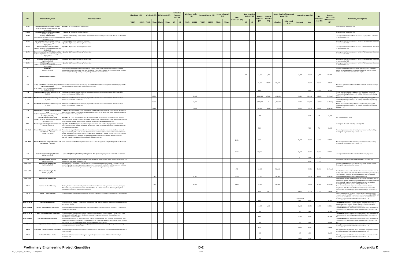| No.                | <b>Project Name/Area</b>                                                                                                                                | <b>Area Description</b>                                                                                                                                                                                                                                                                             |       | Floodplain (SF)<br>Wetlands (SF) SWM Ponds (SF) |       | Infiltration<br><b>Trenches</b><br>(LF/SF) | <b>Wetlands Buffer</b> |       | <b>Stream Channel (SF)</b> | <b>Stream Channel</b><br>(LF) |       |                 | <b>New Retaining</b><br>Wall (LF/SF) |           | Approx.<br><b>Total Cut</b> | Approx.<br><b>Total Fil</b> |                 | <b>Forest Clearing (Reforested</b><br>Area) (SF) | <b>Impervious Area (SY)</b> |            | <b>Net</b> | Approx.<br><b>Overall Limit</b> | <b>Comments/Assumptions</b>                                                                                                                                                                                               |
|--------------------|---------------------------------------------------------------------------------------------------------------------------------------------------------|-----------------------------------------------------------------------------------------------------------------------------------------------------------------------------------------------------------------------------------------------------------------------------------------------------|-------|-------------------------------------------------|-------|--------------------------------------------|------------------------|-------|----------------------------|-------------------------------|-------|-----------------|--------------------------------------|-----------|-----------------------------|-----------------------------|-----------------|--------------------------------------------------|-----------------------------|------------|------------|---------------------------------|---------------------------------------------------------------------------------------------------------------------------------------------------------------------------------------------------------------------------|
|                    |                                                                                                                                                         |                                                                                                                                                                                                                                                                                                     | TEMP. | PERM. TEMP. PERM. TEMP.                         | PERM. | <b>SF</b><br><b>LF</b>                     | TEMP.<br>PERM.         | TEMP. | PERM.                      | TEMP.                         | PERM. | Stormdrain (LF) | LF.                                  | <b>SF</b> | (CY)                        | (CY)                        | <b>Clearing</b> | Reforested<br>Area                               | Removal                     | <b>New</b> | Area (SY)  | of Disturbance<br>(SF)          |                                                                                                                                                                                                                           |
| D-101              | Airfield Lighting Vault Demolition Draft ALP . (See ALP 4) Relocate Airfield Lighting Vault<br>(01/2015) and conditionally approved ALP<br>(02/01/2013) |                                                                                                                                                                                                                                                                                                     |       |                                                 |       |                                            |                        |       |                            |                               |       |                 |                                      |           |                             |                             |                 |                                                  |                             |            |            |                                 | Structures to be removed to TOG                                                                                                                                                                                           |
| D-101A             | <b>Glycol Pump Control Building Demolition</b><br>Draft ALP (01/2015)                                                                                   | • (See ALP 4) Relocate Airfield Lighting Vault                                                                                                                                                                                                                                                      |       |                                                 |       |                                            |                        |       |                            |                               |       |                 |                                      |           |                             |                             |                 |                                                  |                             |            |            |                                 | Structures to be removed to TOG                                                                                                                                                                                           |
| D-113              | <b>Building 113 Demolition</b><br>Draft ALP (01/2015) and conditionally approved other purposes<br>ALP (02/01/2013)                                     | . (Refer P-13 for Values). Removal of the former maintenance building to create a site that can be utilized for                                                                                                                                                                                     |       |                                                 |       |                                            |                        |       |                            |                               |       |                 |                                      |           |                             |                             |                 |                                                  |                             |            |            |                                 | Values generated for these items are within P-13 projections. Structures<br>to be removed to TOG                                                                                                                          |
| D-148              | Taxi/Bus Staging Area Demolition Draft ALP . Taxicab Support Building at Former Hotel Site<br>(01/2015) and conditionally approved ALP<br>(02/01/2013)  | • (See ALP 18) Runway 15R Deicing Pad Expansion                                                                                                                                                                                                                                                     |       |                                                 |       |                                            |                        |       |                            |                               |       |                 |                                      |           |                             |                             |                 |                                                  |                             |            |            |                                 | Values generated for these items are within ALP 19 projections. Structures<br>to be removed to TOG                                                                                                                        |
| D-167              | <b>Hudson General Bus Stop Demolition</b><br>Draft ALP (01/2015) and conditionally approved<br>(02/01/2013)                                             | . (See ALP 18) Runway 15R Deicing Pad Expansion                                                                                                                                                                                                                                                     |       |                                                 |       |                                            |                        |       |                            |                               |       |                 |                                      |           |                             |                             |                 |                                                  |                             |            |            |                                 | Values generated for these items are within ALP 19 projections. Structures<br>to be removed to TOG                                                                                                                        |
| D-170              | Draft ALP (01/2015) and conditionally approved                                                                                                          | Deicing Control Building (RW 15R) Demolition . (See ALP 18) Runway 15R Deicing Pad Expansion                                                                                                                                                                                                        |       |                                                 |       |                                            |                        |       |                            |                               |       |                 |                                      |           |                             |                             |                 |                                                  |                             |            |            |                                 | Values generated for these items are within ALP 19 projections. Structures<br>to be removed to TOG                                                                                                                        |
| $D-173$            | (02/01/2013)<br><b>Glycol Storage Building Demolition</b>                                                                                               | • (See ALP 18) Runway 15R Deicing Pad Expansion                                                                                                                                                                                                                                                     |       |                                                 |       |                                            |                        |       |                            |                               |       |                 |                                      |           |                             |                             |                 |                                                  |                             |            |            |                                 | Values generated for these items are within ALP 19 projections. Structures                                                                                                                                                |
| D-271              | Draft ALP (01/2015)<br><b>RTR Building Demolition</b><br>Draft ALP (01/2015) and conditionally approved                                                 | • (See ALP 18) Runway 15R Deicing Pad Expansion                                                                                                                                                                                                                                                     |       |                                                 |       |                                            |                        |       |                            |                               |       |                 |                                      |           |                             |                             |                 |                                                  |                             |            |            |                                 | o be removed to TOG<br>Values generated for these items are within ALP 19 projections. Structures<br>to be removed to TOG                                                                                                 |
| P7                 | (02/01/2013)<br><b>Second FBO</b><br>Draft ALP (01/2015)                                                                                                | Construct additional general aviation facilities on the east side of the airfield between the existing general<br>aviation facilities and the existing long-term parking lot. The project includes Pilot Center, GA hangar buildings,                                                               |       |                                                 |       |                                            |                        |       |                            |                               |       |                 |                                      |           |                             |                             |                 |                                                  |                             |            |            |                                 | Assume 2.5' pavement section for apron pavement and 1' pavement<br>section for parking lot pavement section. Cut and fill volumes include                                                                                 |
| P9                 | Northrop Grunman Hangar                                                                                                                                 | aircraft ramp, fuel storage facility, vehicle parking, and other necessary facilities                                                                                                                                                                                                               |       |                                                 |       |                                            |                        |       |                            |                               |       |                 | 700                                  |           | 54,200                      | 5,000                       |                 |                                                  | 62,000                      | 60,000     | $-2,000$   | 605,000                         | further excavation for pavement section depths.                                                                                                                                                                           |
|                    |                                                                                                                                                         |                                                                                                                                                                                                                                                                                                     |       |                                                 |       |                                            |                        |       |                            |                               |       |                 |                                      |           |                             |                             |                 |                                                  |                             |            |            |                                 |                                                                                                                                                                                                                           |
| <b>P10</b>         |                                                                                                                                                         | Existing Aircraft Rescue and Firefighting Facility Construction of two additional parking bays for BWI Marshall Fire/Rescue equipment immediately adjacent to                                                                                                                                       |       |                                                 |       |                                            |                        |       |                            |                               |       |                 |                                      |           | 30,900                      | 18,500                      | 236,600         |                                                  |                             | 38,600     | 38,600     | 498,500                         | Assume 1.5' pavement section for arff bay and road. Assume 5' cut depth                                                                                                                                                   |
|                    | (ARFF) Expansion Bays<br>Draft ALP (01/2015) and conditionally approved                                                                                 | the existing ARFF building as well as additional office space.                                                                                                                                                                                                                                      |       |                                                 |       |                                            |                        |       |                            |                               |       |                 |                                      |           |                             |                             |                 |                                                  |                             |            |            |                                 | for building.                                                                                                                                                                                                             |
| <b>P11</b>         | ALP (02/01/2013-P26)                                                                                                                                    | New Aircraft Maintenance Facilities Draft ALP   Additional aircraft maintenance facility to proposed to accommodate a combination of ADG IV and ADG V                                                                                                                                               |       |                                                 |       |                                            |                        |       |                            |                               |       |                 |                                      |           | 2.100                       |                             |                 |                                                  |                             | 1,900      | 1,900      | 31,100                          | Aircraft Pavement (Including Subbase) = 2.5';            Shoulder/Parking/VSR                                                                                                                                             |
| P11- Alt 3         | (01/2015)                                                                                                                                               | aircraft an elevation of 235 feet MSL.<br>New Aircraft Maintenance Facilities Draft ALP Additional aircraft maintenance facility to proposed to accommodate a combination of ADG IV and ADG V                                                                                                       |       | 15,000                                          |       |                                            | 59,000                 |       |                            |                               |       |                 |                                      |           | 1,092,900                   | 67,100                      | 2,236,400       |                                                  | 3,600                       | 131,200    | 127,600    | 72 (Acres)                      | Pavement (Including Subbase) = 1.0'; Building Slab On Grade (Including<br>$Subbase$ = 1.5'<br>Aircraft Pavement (Including Subbase) = 2.5'; Shoulder/Parking/VSR                                                          |
|                    | (01/2015)                                                                                                                                               | aircraft an elevation of 235 feet MSL.                                                                                                                                                                                                                                                              |       | 15,000                                          |       |                                            | 59,000                 |       |                            |                               |       |                 |                                      |           | 1,270,500                   |                             | 1,703,700       |                                                  | 1,600                       | 117,000    | 115,400    | 55 (Acres)                      | Pavement (Including Subbase) = 1.0'; Building Slab On Grade (Including<br>$Subbase$ = $1.5'$                                                                                                                              |
| P12                | (01/2015)                                                                                                                                               | New Aircraft Maintenance Facilities Draft ALP Additional aircraft maintenance facility to proposed to accommodate a combination of ADG IV and ADG V<br>aircraft an elevation of 210 feet MSL.                                                                                                       |       | 38,400                                          |       |                                            | 117,900                |       |                            |                               |       |                 |                                      |           | 343.100                     |                             |                 |                                                  |                             |            |            |                                 | Aircraft Pavement (Including Subbase) = 2.5'; Shoulder/Parking/VSR<br>Pavement (Including Subbase) = 1.0'; Building Slab On Grade (Including<br>$Subbase) = 1.5'$                                                         |
| P13                | Road                                                                                                                                                    | Runway Deicing Chemical Storage and Access   • (See D-113). An additional 20,000 gallons glycol storage tank is proposed to be added with the two existing<br>glycol tanks in order to meet the current demand at BWI Marshall. An access road is also proposed to improve                          |       |                                                 |       |                                            |                        |       |                            |                               |       |                 |                                      |           |                             | 73,000                      | 1,133,300       |                                                  | 4,800                       | 81,000     | 76,200     | 36 (Acres)                      |                                                                                                                                                                                                                           |
| P14                | Draft ALP (01/2015) and conditionally approved the circulation to the storage tanks.<br>ALP (02/01/2013-P41)<br><b>Relocate Airfield Lighting Vault</b> | . (See ALP 4). A new airfield lighting vault (ALV) is proposed to be constructed adjacent to future Taxiway P                                                                                                                                                                                       |       |                                                 |       |                                            |                        |       |                            |                               |       |                 |                                      |           | 200                         |                             |                 |                                                  |                             | 570        | 570        | 11,600                          | This project added to ALP-4                                                                                                                                                                                               |
|                    | Draft ALP (01/2015) and conditionally approved<br>ALP (02/01/2013)                                                                                      | (decommissioned Runway 4-22) and the Runway 28 deicing pad. The existing ALV at BWI Marshall was originally<br>an ARFF station and was never intended to remain the ALV for an extended period of time.                                                                                             |       |                                                 |       |                                            |                        |       |                            |                               |       |                 |                                      |           |                             |                             |                 |                                                  |                             |            |            |                                 |                                                                                                                                                                                                                           |
| P148               | Draft ALP (01/2015)                                                                                                                                     | Taxicab Support Building at Former Hotel Site   Gee ALP 18-PROPOSED) Runway 15R Deicing Pad Expansion. The bus/taxi staging area and associated<br>administrative support building will need to be relocated. A new administrative support facility will be built to<br>nanage the taxi operations. |       |                                                 |       |                                            |                        |       |                            |                               |       |                 |                                      |           | 3,100                       |                             |                 |                                                  |                             | 700        | 700        | 35,500                          | Building Slab On Grade (Including Subbase) = 1.5'                                                                                                                                                                         |
|                    | P30 - Alt 1 Airport Maintenance Complex Relocation and<br>Consolidation (Phase 1)<br>Draft ALP (01/2015)                                                | Phase 1 of the Airport Maintenance Complex Relocation and Consolidation is to construct a Snow Removal<br>Equipment Building at the Gold Lot Site. The maintenance functions to be relocated and consolidated into the                                                                              |       |                                                 |       |                                            |                        |       |                            |                               |       |                 |                                      |           |                             |                             |                 |                                                  |                             |            |            |                                 | Assume 2' pavement section for parking lot area surrounding building.<br>Building slab on grade including subbase = 2'                                                                                                    |
|                    |                                                                                                                                                         | Airport Maintenance Complex include the Current airport maintenance facilities, offices, and related amentias<br>at the Elms Road complex, as well as the additional staging and storage of the snow removal equipment<br>currently at parking locations midfield and north of the economy lot.     |       |                                                 |       |                                            |                        |       |                            |                               |       |                 |                                      |           |                             |                             |                 |                                                  |                             |            |            |                                 |                                                                                                                                                                                                                           |
|                    | Consolidation (Phase 1)                                                                                                                                 | P30 - Alt 2   Airport Maintenance Complex Relocation and   Same as above with the following modification: Snow Removal Equipment (SRE) Building located further west.                                                                                                                               |       |                                                 |       |                                            |                        |       |                            |                               |       | 2,450           |                                      |           | 6,300                       |                             |                 |                                                  | 73,000                      | 75,000     | 2,000      | 773,000                         | Assume 2' pavement section for parking lot area surrounding building.<br>Building slab on grade including subbase = 2'                                                                                                    |
|                    |                                                                                                                                                         |                                                                                                                                                                                                                                                                                                     |       |                                                 |       |                                            |                        |       |                            |                               |       |                 |                                      |           |                             |                             |                 |                                                  |                             |            |            |                                 |                                                                                                                                                                                                                           |
|                    |                                                                                                                                                         |                                                                                                                                                                                                                                                                                                     |       |                                                 |       |                                            |                        |       |                            |                               |       | 2,490           |                                      |           | 160,000                     |                             |                 |                                                  | 42,000                      | 75,000     | 33,000     | 773,000                         |                                                                                                                                                                                                                           |
| P40                | <b>Glycol Storage/Truck Staging Relocation</b><br>Draft ALP (01/2015)                                                                                   | . (See ALP 18) Runway 15R Deicing Pad Expansion. The glycol storage equipment will need to be relocated.                                                                                                                                                                                            |       |                                                 |       |                                            |                        |       |                            |                               |       |                 |                                      |           |                             |                             |                 |                                                  | $\Omega$                    | 1,300      | 1,300      |                                 | Values generated for this item are within the ALP 18 projections.                                                                                                                                                         |
|                    | <b>New Area for Snow Dumping</b><br>Draft ALP (01/2015)                                                                                                 | . (See ALP 18) Runway 15R Deicing Pad Expansion. An area for snow dumping will be constructed as part of the<br>expansion of the runway 15R deicing pad.                                                                                                                                            |       |                                                 |       |                                            |                        |       |                            |                               |       |                 |                                      |           |                             |                             |                 |                                                  |                             | 3,500      | 3,500      |                                 | Values generated for this item are within the ALP 18 projections.                                                                                                                                                         |
| P45 - ALT 1        | <b>Relocate Fire Training Facility</b><br>Draft ALP (01/2015)                                                                                           | Replace the fire training facility at a site that can accommodate the necessary facilities, to include a burn pit<br>area, firefighting maneuvering area, training operations area, realistic interior fire building, accessory facilities,                                                         |       |                                                 |       |                                            |                        |       |                            |                               |       |                 |                                      |           |                             |                             |                 |                                                  |                             |            |            |                                 | Assume 2' pavement section for parking lot area surrounding building.<br>Building slab on grade including subbase = 2'                                                                                                    |
| P45 - ALT 2        | <b>Relocate Fire Training Facility</b>                                                                                                                  | and other facilities and roadway access necessary to serve as the regional training facility.                                                                                                                                                                                                       |       |                                                 |       |                                            |                        |       |                            |                               |       | 675             |                                      |           | 33,000                      |                             | 748,000         |                                                  |                             | 53,500     | 53,500     | 24 (Acres)                      | Area for SWM wetland and wetlands buffer areas includes entire area of                                                                                                                                                    |
|                    | Draft ALP (01/2015)                                                                                                                                     |                                                                                                                                                                                                                                                                                                     |       | 5,000                                           |       |                                            | 18,500                 |       |                            |                               |       | 2,250           |                                      |           | 42,600                      |                             | 742,000         |                                                  |                             | 63,000     | 63,000     | 26 (Acres)                      | each specific wetland and wetland buffer area even if only partially withing<br>LOD. Assume 2' pavement section for parking lot area surrounding<br>building. Building slab on grade including subbase = 2'               |
| <b>P45 - ALT 3</b> | <b>Relocate Fire Training Facility</b>                                                                                                                  |                                                                                                                                                                                                                                                                                                     |       |                                                 |       |                                            |                        |       |                            |                               |       |                 |                                      |           |                             |                             |                 |                                                  |                             |            |            |                                 | Area for SWM wetland and wetlands buffer areas includes entire area of<br>each specific wetland and wetland buffer area even if only partially withing                                                                    |
| PMP-1              | Taxiway G Mill and Overlay                                                                                                                              | Taxiway G will be milled and overlayed due to predominant distresses in the pavement. However, Emergency                                                                                                                                                                                            |       | 5,000                                           |       |                                            | 18,500                 |       |                            |                               |       | 1,800           |                                      |           | 32,000                      |                             | 742,000         |                                                  |                             | 57,000     | 57,000     | 25 (Acres)                      | LOD. Assume 2' pavement section for parking lot area surrounding<br>building. Building slab on grade including subbase = 2'<br>There is a net increase in impervious area to construct fillets in                         |
|                    |                                                                                                                                                         | Mill and Overlay was performed as part of contract MAA-CO-112-008 Runway 10-28 Runway Safety Area,<br>pavement rehabilitation and standard compliance.                                                                                                                                              |       |                                                 |       |                                            |                        |       |                            |                               |       |                 |                                      |           | 3,900                       | 390                         |                 |                                                  | 9,600                       | 10,700     | 1,100      | 224,000                         | compliance. 10% of pavement rehabilitation area is assumed to be<br>reconstruction for permitting purposes. Undercut depth assumed to be                                                                                  |
| PMP-2              | Taxiway P Mill and Overlay                                                                                                                              | redominant distresses are alligator cracking, rutting, and weathering. A 3 inch mill and overlay is recommendec                                                                                                                                                                                     |       |                                                 |       |                                            |                        |       |                            |                               |       |                 |                                      |           |                             |                             |                 |                                                  |                             |            |            |                                 | Existing shoulder w=35', required shoulder w=30'. Potential shoulder<br>removal results in 3,300 SY increase in impervious removal (7,500 SY). 10%<br>of pavement rehabilitation area is assumed to be reconstruction for |
|                    |                                                                                                                                                         |                                                                                                                                                                                                                                                                                                     |       |                                                 |       |                                            |                        |       |                            |                               |       |                 |                                      |           | 1,400                       |                             |                 |                                                  | See Comment<br>4200         | 4,200      |            | 37,500                          | permitting purposes. Undercut depth assumed to be 1.0'.                                                                                                                                                                   |
| 18-01 (PMP-3)      | <b>Taxiway T reconstruction</b>                                                                                                                         | Reconstruction of Taxiway T in the vicinity of Concourse A/B. Appropriate fillets and shoulders should be added<br>per advisory circular.                                                                                                                                                           |       |                                                 |       |                                            |                        |       |                            |                               |       |                 |                                      |           | 28,600                      | 3,000                       |                 |                                                  | 40,500                      | 42,000     | 1,500      | 540,000                         | (Formerly PMP-3) Assume 2.5' full-strength pavement section and 1'<br>shoulder pavement section. Cut and fill volumes include excavation<br>required for accommodating pavement section.                                  |
| 18-02 (PMP-4)      | Taxilane at Ramp AB Mill and Overlay                                                                                                                    | Predominant distresses are weathering as well as longitudinal, transverse and block cracking. A 3 inch mill and<br>overlay is recommended                                                                                                                                                           |       |                                                 |       |                                            |                        |       |                            |                               |       |                 |                                      |           | 300                         |                             |                 |                                                  | 980                         | 980        |            | 87,800                          | (Formerly PMP-4) 10% of pavement rehabilitation area is assumed to be<br>reconstruction for permitting purposes. Undercut depth assumed to be                                                                             |
| 20-01 (PMP-5)      | <b>B Gates, Concrete Pavement Restoration</b>                                                                                                           | Predominant distresses are spalling, linear cracking, shattered slabs and corner breaks. This pavement is at a<br>critical time in its life cycle where the deterioration rate is expected to increase. Concrete Pavement<br>Rehabilitation is recommended                                          |       |                                                 |       |                                            |                        |       |                            |                               |       |                 |                                      |           | 1,100                       |                             |                 |                                                  | 3,200                       | 3,200      |            | 286,300                         | (Formerly PMP-5) 10% of pavement rehabilitation area is assumed to be<br>econstruction for permitting purposes. Undercut depth assumed to be                                                                              |
| 17-02 (PMP-6)      | <b>ARFF Access Road Reconstruction</b>                                                                                                                  | Predominant distresses are alligator cracking, rutting and weathering. This pavement is functionally failing.<br>Deferring rehabilitation may allow it to deteriorate quickly to the point where more costly reconstruction may                                                                     |       |                                                 |       |                                            |                        |       |                            |                               |       |                 |                                      |           | 200                         |                             |                 |                                                  |                             |            |            |                                 | (Formerly PMP-6) 10% of pavement rehabilitation area is assumed to be<br>reconstruction for permitting purposes. Undercut depth assumed to be                                                                             |
| <b>PMP-7</b>       | Cargo Ramp, Mill and Overlay                                                                                                                            | be required. A 2 inch mill & overlay of the asphalt pavement is recommended.<br>Predominant distresses are alligator cracking, longitudinal and transverse cracking, rutting and weathering. A 3<br>inch mill and overlay is recommended.                                                           |       |                                                 |       |                                            |                        |       |                            |                               |       |                 |                                      |           |                             |                             |                 |                                                  | 400                         | 400        |            | 102,000                         | 10% of pavement rehabilitation area is assumed to be reconstruction for<br>mitting purposes. Undercut depth assumed to be 1.0'.                                                                                           |
| PMP-8              | Cargo Ramp, Concrete Pavement Restoration                                                                                                               | Predominant distresses are spalling, linear cracking, and joint seal damage. Concrete Pavement Rehabilitation is<br>recommended                                                                                                                                                                     |       |                                                 |       |                                            |                        |       |                            |                               |       |                 |                                      |           | 1,633                       |                             |                 |                                                  | 4.900                       | 4,900      |            | 434,000                         | 10% of pavement rehabilitation area is assumed to be reconstruction for<br>ermitting purposes. Undercut depth assumed to be 1.0'.                                                                                         |
| PMP-9              | Taxilane AA, Mill and Overlay                                                                                                                           | Predominant distresses are weathering and longitudinal/transverse cracks. A 3 inch mill and overlay is                                                                                                                                                                                              |       |                                                 |       |                                            |                        |       |                            |                               |       |                 |                                      |           | 200                         |                             |                 |                                                  | 600                         | 600        |            | 48,000                          | 10% of pavement rehabilitation area is assumed to be reconstruction for                                                                                                                                                   |
|                    |                                                                                                                                                         | ecommended                                                                                                                                                                                                                                                                                          |       |                                                 |       |                                            |                        |       |                            |                               |       |                 |                                      |           |                             |                             |                 |                                                  | 2,000                       | 2,000      |            | 176,000                         | ermitting purposes. Undercut depth assumed to be 1.0'.                                                                                                                                                                    |

## **Preliminary Engineering Project Quantities**